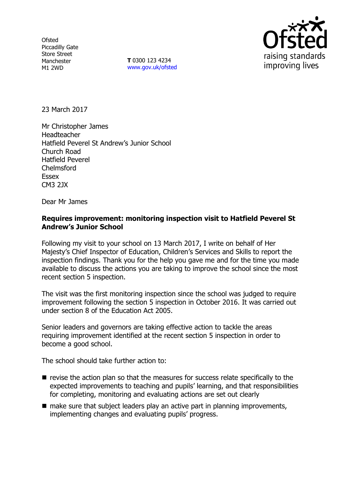**Ofsted** Piccadilly Gate Store Street Manchester M1 2WD

**T** 0300 123 4234 www.gov.uk/ofsted



23 March 2017

Mr Christopher James Headteacher Hatfield Peverel St Andrew's Junior School Church Road Hatfield Peverel Chelmsford Essex CM3 2JX

Dear Mr James

### **Requires improvement: monitoring inspection visit to Hatfield Peverel St Andrew's Junior School**

Following my visit to your school on 13 March 2017, I write on behalf of Her Majesty's Chief Inspector of Education, Children's Services and Skills to report the inspection findings. Thank you for the help you gave me and for the time you made available to discuss the actions you are taking to improve the school since the most recent section 5 inspection.

The visit was the first monitoring inspection since the school was judged to require improvement following the section 5 inspection in October 2016. It was carried out under section 8 of the Education Act 2005.

Senior leaders and governors are taking effective action to tackle the areas requiring improvement identified at the recent section 5 inspection in order to become a good school.

The school should take further action to:

- $\blacksquare$  revise the action plan so that the measures for success relate specifically to the expected improvements to teaching and pupils' learning, and that responsibilities for completing, monitoring and evaluating actions are set out clearly
- $\blacksquare$  make sure that subject leaders play an active part in planning improvements, implementing changes and evaluating pupils' progress.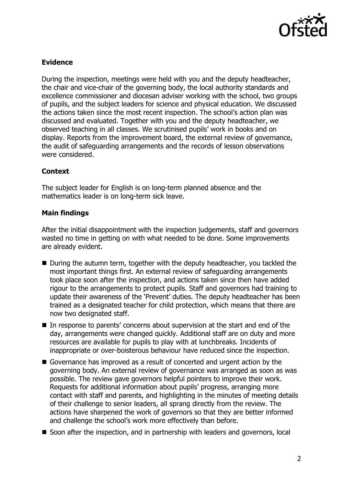

# **Evidence**

During the inspection, meetings were held with you and the deputy headteacher, the chair and vice-chair of the governing body, the local authority standards and excellence commissioner and diocesan adviser working with the school, two groups of pupils, and the subject leaders for science and physical education. We discussed the actions taken since the most recent inspection. The school's action plan was discussed and evaluated. Together with you and the deputy headteacher, we observed teaching in all classes. We scrutinised pupils' work in books and on display. Reports from the improvement board, the external review of governance, the audit of safeguarding arrangements and the records of lesson observations were considered.

# **Context**

The subject leader for English is on long-term planned absence and the mathematics leader is on long-term sick leave.

### **Main findings**

After the initial disappointment with the inspection judgements, staff and governors wasted no time in getting on with what needed to be done. Some improvements are already evident.

- During the autumn term, together with the deputy headteacher, you tackled the most important things first. An external review of safeguarding arrangements took place soon after the inspection, and actions taken since then have added rigour to the arrangements to protect pupils. Staff and governors had training to update their awareness of the 'Prevent' duties. The deputy headteacher has been trained as a designated teacher for child protection, which means that there are now two designated staff.
- In response to parents' concerns about supervision at the start and end of the day, arrangements were changed quickly. Additional staff are on duty and more resources are available for pupils to play with at lunchbreaks. Incidents of inappropriate or over-boisterous behaviour have reduced since the inspection.
- Governance has improved as a result of concerted and urgent action by the governing body. An external review of governance was arranged as soon as was possible. The review gave governors helpful pointers to improve their work. Requests for additional information about pupils' progress, arranging more contact with staff and parents, and highlighting in the minutes of meeting details of their challenge to senior leaders, all sprang directly from the review. The actions have sharpened the work of governors so that they are better informed and challenge the school's work more effectively than before.
- Soon after the inspection, and in partnership with leaders and governors, local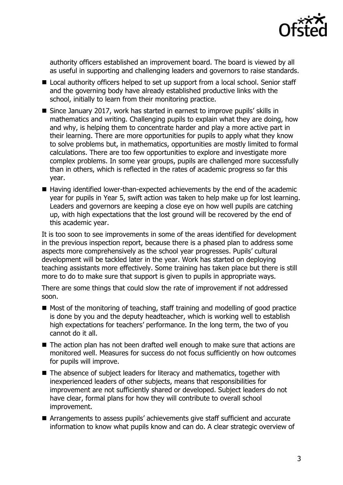

authority officers established an improvement board. The board is viewed by all as useful in supporting and challenging leaders and governors to raise standards.

- Local authority officers helped to set up support from a local school. Senior staff and the governing body have already established productive links with the school, initially to learn from their monitoring practice.
- Since January 2017, work has started in earnest to improve pupils' skills in mathematics and writing. Challenging pupils to explain what they are doing, how and why, is helping them to concentrate harder and play a more active part in their learning. There are more opportunities for pupils to apply what they know to solve problems but, in mathematics, opportunities are mostly limited to formal calculations. There are too few opportunities to explore and investigate more complex problems. In some year groups, pupils are challenged more successfully than in others, which is reflected in the rates of academic progress so far this year.
- Having identified lower-than-expected achievements by the end of the academic year for pupils in Year 5, swift action was taken to help make up for lost learning. Leaders and governors are keeping a close eye on how well pupils are catching up, with high expectations that the lost ground will be recovered by the end of this academic year.

It is too soon to see improvements in some of the areas identified for development in the previous inspection report, because there is a phased plan to address some aspects more comprehensively as the school year progresses. Pupils' cultural development will be tackled later in the year. Work has started on deploying teaching assistants more effectively. Some training has taken place but there is still more to do to make sure that support is given to pupils in appropriate ways.

There are some things that could slow the rate of improvement if not addressed soon.

- $\blacksquare$  Most of the monitoring of teaching, staff training and modelling of good practice is done by you and the deputy headteacher, which is working well to establish high expectations for teachers' performance. In the long term, the two of you cannot do it all.
- The action plan has not been drafted well enough to make sure that actions are monitored well. Measures for success do not focus sufficiently on how outcomes for pupils will improve.
- The absence of subject leaders for literacy and mathematics, together with inexperienced leaders of other subjects, means that responsibilities for improvement are not sufficiently shared or developed. Subject leaders do not have clear, formal plans for how they will contribute to overall school improvement.
- Arrangements to assess pupils' achievements give staff sufficient and accurate information to know what pupils know and can do. A clear strategic overview of